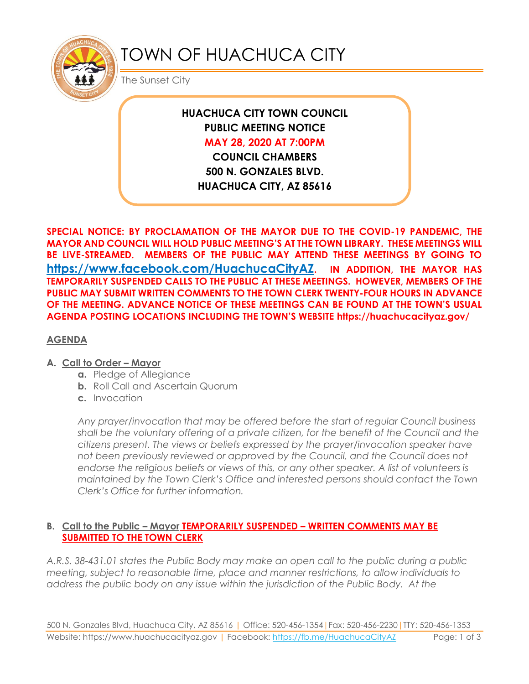

# TOWN OF HUACHUCA CITY

The Sunset City

## **HUACHUCA CITY TOWN COUNCIL PUBLIC MEETING NOTICE MAY 28, 2020 AT 7:00PM COUNCIL CHAMBERS**

**500 N. GONZALES BLVD. HUACHUCA CITY, AZ 85616**

**SPECIAL NOTICE: BY PROCLAMATION OF THE MAYOR DUE TO THE COVID-19 PANDEMIC, THE MAYOR AND COUNCIL WILL HOLD PUBLIC MEETING'S AT THE TOWN LIBRARY. THESE MEETINGS WILL BE LIVE-STREAMED. MEMBERS OF THE PUBLIC MAY ATTEND THESE MEETINGS BY GOING TO <https://www.facebook.com/HuachucaCityAZ>. IN ADDITION, THE MAYOR HAS TEMPORARILY SUSPENDED CALLS TO THE PUBLIC AT THESE MEETINGS. HOWEVER, MEMBERS OF THE PUBLIC MAY SUBMIT WRITTEN COMMENTS TO THE TOWN CLERK TWENTY-FOUR HOURS IN ADVANCE OF THE MEETING. ADVANCE NOTICE OF THESE MEETINGS CAN BE FOUND AT THE TOWN'S USUAL AGENDA POSTING LOCATIONS INCLUDING THE TOWN'S WEBSITE https://huachucacityaz.gov/**

#### **AGENDA**

#### **A. Call to Order – Mayor**

- **a.** Pledge of Allegiance
- **b.** Roll Call and Ascertain Quorum
- **c.** Invocation

*Any prayer/invocation that may be offered before the start of regular Council business shall be the voluntary offering of a private citizen, for the benefit of the Council and the citizens present. The views or beliefs expressed by the prayer/invocation speaker have not been previously reviewed or approved by the Council, and the Council does not endorse the religious beliefs or views of this, or any other speaker. A list of volunteers is maintained by the Town Clerk's Office and interested persons should contact the Town Clerk's Office for further information.*

#### **B. Call to the Public – Mayor TEMPORARILY SUSPENDED – WRITTEN COMMENTS MAY BE SUBMITTED TO THE TOWN CLERK**

*A.R.S. 38-431.01 states the Public Body may make an open call to the public during a public meeting, subject to reasonable time, place and manner restrictions, to allow individuals to address the public body on any issue within the jurisdiction of the Public Body. At the*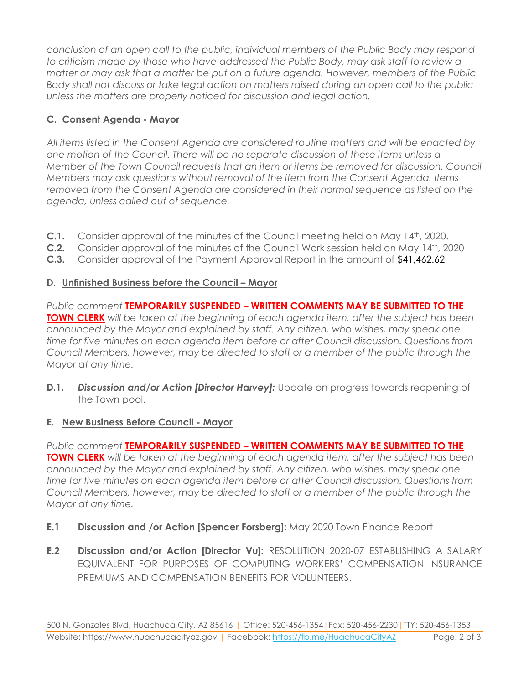*conclusion of an open call to the public, individual members of the Public Body may respond to criticism made by those who have addressed the Public Body, may ask staff to review a matter or may ask that a matter be put on a future agenda. However, members of the Public Body shall not discuss or take legal action on matters raised during an open call to the public unless the matters are properly noticed for discussion and legal action.*

## **C. Consent Agenda - Mayor**

*All items listed in the Consent Agenda are considered routine matters and will be enacted by one motion of the Council. There will be no separate discussion of these items unless a Member of the Town Council requests that an item or items be removed for discussion. Council Members may ask questions without removal of the item from the Consent Agenda. Items removed from the Consent Agenda are considered in their normal sequence as listed on the agenda, unless called out of sequence.*

- **C.1.** Consider approval of the minutes of the Council meeting held on May 14<sup>th</sup>, 2020.
- **C.2.** Consider approval of the minutes of the Council Work session held on May 14th, 2020
- **C.3.** Consider approval of the Payment Approval Report in the amount of \$41,462.62

## **D. Unfinished Business before the Council – Mayor**

*Public comment* **TEMPORARILY SUSPENDED – WRITTEN COMMENTS MAY BE SUBMITTED TO THE TOWN CLERK** *will be taken at the beginning of each agenda item, after the subject has been announced by the Mayor and explained by staff. Any citizen, who wishes, may speak one time for five minutes on each agenda item before or after Council discussion. Questions from Council Members, however, may be directed to staff or a member of the public through the Mayor at any time.*

**D.1. Discussion and/or Action [Director Harvey]:** Update on progress towards reopening of the Town pool.

### **E. New Business Before Council - Mayor**

*Public comment* **TEMPORARILY SUSPENDED – WRITTEN COMMENTS MAY BE SUBMITTED TO THE TOWN CLERK** *will be taken at the beginning of each agenda item, after the subject has been announced by the Mayor and explained by staff. Any citizen, who wishes, may speak one time for five minutes on each agenda item before or after Council discussion. Questions from Council Members, however, may be directed to staff or a member of the public through the Mayor at any time.* 

- **E.1 Discussion and /or Action [Spencer Forsberg]:** May 2020 Town Finance Report
- **E.2 Discussion and/or Action [Director Vu]:** RESOLUTION 2020-07 ESTABLISHING A SALARY EQUIVALENT FOR PURPOSES OF COMPUTING WORKERS' COMPENSATION INSURANCE PREMIUMS AND COMPENSATION BENEFITS FOR VOLUNTEERS.